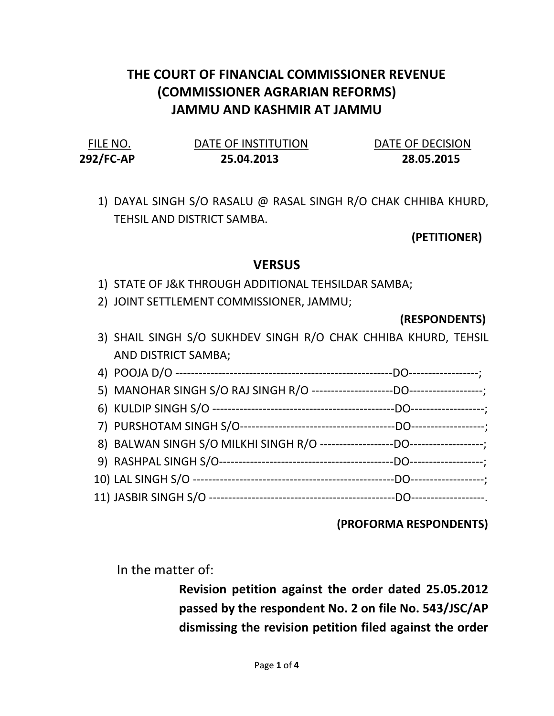# THE COURT OF FINANCIAL COMMISSIONER REVENUE (COMMISSIONER AGRARIAN REFORMS) JAMMU AND KASHMIR AT JAMMU

| FILE NO.  | DATE OF INSTITUTION | DATE OF DECISION |
|-----------|---------------------|------------------|
| 292/FC-AP | 25.04.2013          | 28.05.2015       |

1) DAYAL SINGH S/O RASALU @ RASAL SINGH R/O CHAK CHHIBA KHURD, TEHSIL AND DISTRICT SAMBA.

(PETITIONER)

### **VERSUS**

- 1) STATE OF J&K THROUGH ADDITIONAL TEHSILDAR SAMBA;
- 2) JOINT SETTLEMENT COMMISSIONER, JAMMU;

(RESPONDENTS)

3) SHAIL SINGH S/O SUKHDEV SINGH R/O CHAK CHHIBA KHURD, TEHSIL AND DISTRICT SAMBA;

#### (PROFORMA RESPONDENTS)

In the matter of:

Revision petition against the order dated 25.05.2012 passed by the respondent No. 2 on file No. 543/JSC/AP dismissing the revision petition filed against the order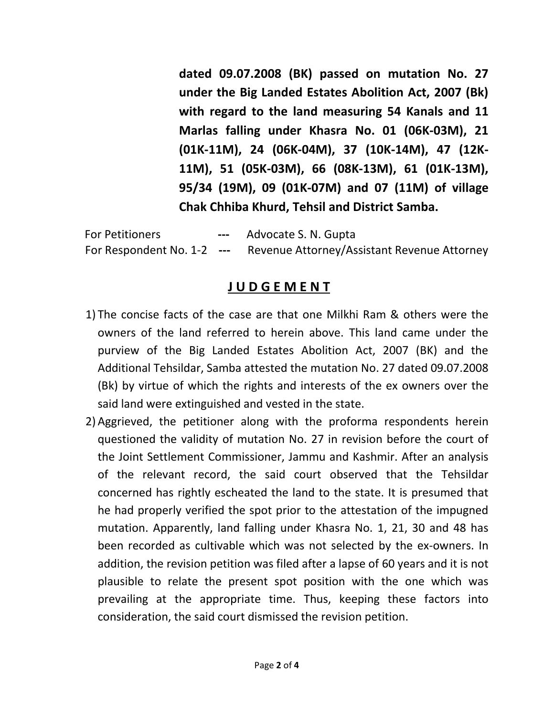dated 09.07.2008 (BK) passed on mutation No. 27 under the Big Landed Estates Abolition Act, 2007 (Bk) with regard to the land measuring 54 Kanals and 11 Marlas falling under Khasra No. 01 (06K-03M), 21 (01K-11M), 24 (06K-04M), 37 (10K-14M), 47 (12K-11M), 51 (05K-03M), 66 (08K-13M), 61 (01K-13M), 95/34 (19M), 09 (01K-07M) and 07 (11M) of village Chak Chhiba Khurd, Tehsil and District Samba.

For Petitioners **---** Advocate S. N. Gupta For Respondent No. 1-2 --- Revenue Attorney/Assistant Revenue Attorney

### J U D G E M E N T

- 1) The concise facts of the case are that one Milkhi Ram & others were the owners of the land referred to herein above. This land came under the purview of the Big Landed Estates Abolition Act, 2007 (BK) and the Additional Tehsildar, Samba attested the mutation No. 27 dated 09.07.2008 (Bk) by virtue of which the rights and interests of the ex owners over the said land were extinguished and vested in the state.
- 2) Aggrieved, the petitioner along with the proforma respondents herein questioned the validity of mutation No. 27 in revision before the court of the Joint Settlement Commissioner, Jammu and Kashmir. After an analysis of the relevant record, the said court observed that the Tehsildar concerned has rightly escheated the land to the state. It is presumed that he had properly verified the spot prior to the attestation of the impugned mutation. Apparently, land falling under Khasra No. 1, 21, 30 and 48 has been recorded as cultivable which was not selected by the ex-owners. In addition, the revision petition was filed after a lapse of 60 years and it is not plausible to relate the present spot position with the one which was prevailing at the appropriate time. Thus, keeping these factors into consideration, the said court dismissed the revision petition.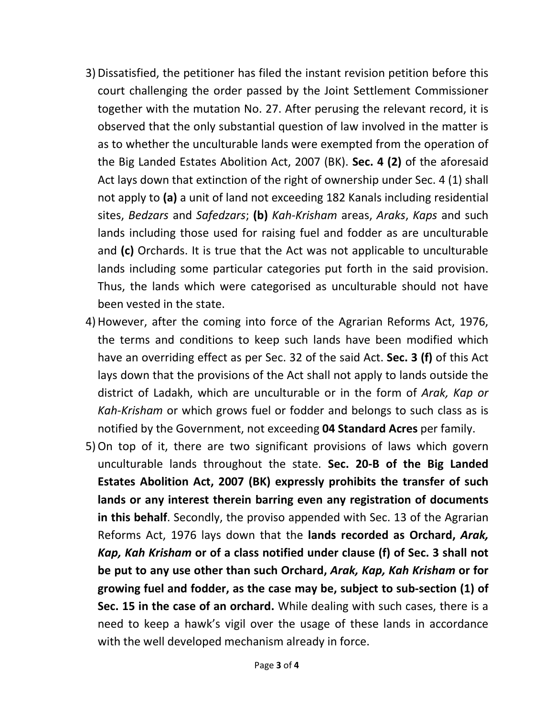- 3)Dissatisfied, the petitioner has filed the instant revision petition before this court challenging the order passed by the Joint Settlement Commissioner together with the mutation No. 27. After perusing the relevant record, it is observed that the only substantial question of law involved in the matter is as to whether the unculturable lands were exempted from the operation of the Big Landed Estates Abolition Act, 2007 (BK). Sec. 4 (2) of the aforesaid Act lays down that extinction of the right of ownership under Sec. 4 (1) shall not apply to (a) a unit of land not exceeding 182 Kanals including residential sites, Bedzars and Safedzars; (b) Kah-Krisham areas, Araks, Kaps and such lands including those used for raising fuel and fodder as are unculturable and (c) Orchards. It is true that the Act was not applicable to unculturable lands including some particular categories put forth in the said provision. Thus, the lands which were categorised as unculturable should not have been vested in the state.
- 4)However, after the coming into force of the Agrarian Reforms Act, 1976, the terms and conditions to keep such lands have been modified which have an overriding effect as per Sec. 32 of the said Act. Sec. 3 (f) of this Act lays down that the provisions of the Act shall not apply to lands outside the district of Ladakh, which are unculturable or in the form of Arak, Kap or Kah-Krisham or which grows fuel or fodder and belongs to such class as is notified by the Government, not exceeding 04 Standard Acres per family.
- 5)On top of it, there are two significant provisions of laws which govern unculturable lands throughout the state. Sec. 20-B of the Big Landed Estates Abolition Act, 2007 (BK) expressly prohibits the transfer of such lands or any interest therein barring even any registration of documents in this behalf. Secondly, the proviso appended with Sec. 13 of the Agrarian Reforms Act, 1976 lays down that the lands recorded as Orchard, Arak, Kap, Kah Krisham or of a class notified under clause (f) of Sec. 3 shall not be put to any use other than such Orchard, Arak, Kap, Kah Krisham or for growing fuel and fodder, as the case may be, subject to sub-section (1) of Sec. 15 in the case of an orchard. While dealing with such cases, there is a need to keep a hawk's vigil over the usage of these lands in accordance with the well developed mechanism already in force.